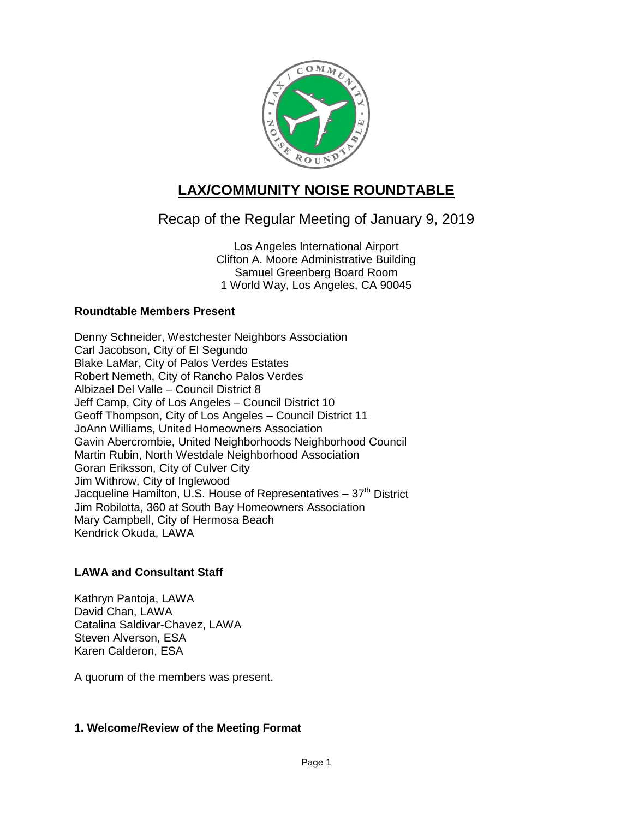

# **LAX/COMMUNITY NOISE ROUNDTABLE**

## Recap of the Regular Meeting of January 9, 2019

Los Angeles International Airport Clifton A. Moore Administrative Building Samuel Greenberg Board Room 1 World Way, Los Angeles, CA 90045

## **Roundtable Members Present**

Denny Schneider, Westchester Neighbors Association Carl Jacobson, City of El Segundo Blake LaMar, City of Palos Verdes Estates Robert Nemeth, City of Rancho Palos Verdes Albizael Del Valle – Council District 8 Jeff Camp, City of Los Angeles – Council District 10 Geoff Thompson, City of Los Angeles – Council District 11 JoAnn Williams, United Homeowners Association Gavin Abercrombie, United Neighborhoods Neighborhood Council Martin Rubin, North Westdale Neighborhood Association Goran Eriksson, City of Culver City Jim Withrow, City of Inglewood Jacqueline Hamilton, U.S. House of Representatives  $-37<sup>th</sup>$  District Jim Robilotta, 360 at South Bay Homeowners Association Mary Campbell, City of Hermosa Beach Kendrick Okuda, LAWA

## **LAWA and Consultant Staff**

Kathryn Pantoja, LAWA David Chan, LAWA Catalina Saldivar-Chavez, LAWA Steven Alverson, ESA Karen Calderon, ESA

A quorum of the members was present.

## **1. Welcome/Review of the Meeting Format**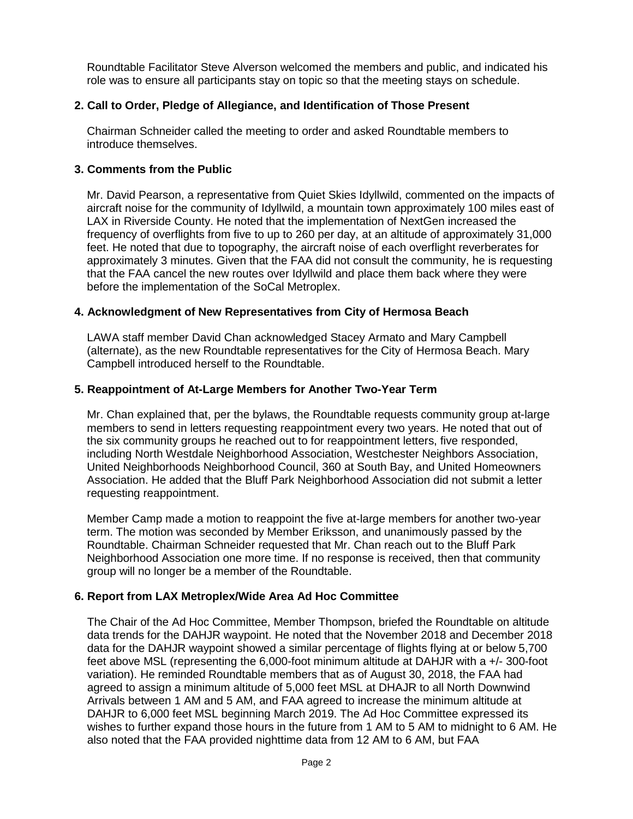Roundtable Facilitator Steve Alverson welcomed the members and public, and indicated his role was to ensure all participants stay on topic so that the meeting stays on schedule.

## **2. Call to Order, Pledge of Allegiance, and Identification of Those Present**

Chairman Schneider called the meeting to order and asked Roundtable members to introduce themselves.

#### **3. Comments from the Public**

Mr. David Pearson, a representative from Quiet Skies Idyllwild, commented on the impacts of aircraft noise for the community of Idyllwild, a mountain town approximately 100 miles east of LAX in Riverside County. He noted that the implementation of NextGen increased the frequency of overflights from five to up to 260 per day, at an altitude of approximately 31,000 feet. He noted that due to topography, the aircraft noise of each overflight reverberates for approximately 3 minutes. Given that the FAA did not consult the community, he is requesting that the FAA cancel the new routes over Idyllwild and place them back where they were before the implementation of the SoCal Metroplex.

#### **4. Acknowledgment of New Representatives from City of Hermosa Beach**

LAWA staff member David Chan acknowledged Stacey Armato and Mary Campbell (alternate), as the new Roundtable representatives for the City of Hermosa Beach. Mary Campbell introduced herself to the Roundtable.

#### **5. Reappointment of At-Large Members for Another Two-Year Term**

Mr. Chan explained that, per the bylaws, the Roundtable requests community group at-large members to send in letters requesting reappointment every two years. He noted that out of the six community groups he reached out to for reappointment letters, five responded, including North Westdale Neighborhood Association, Westchester Neighbors Association, United Neighborhoods Neighborhood Council, 360 at South Bay, and United Homeowners Association. He added that the Bluff Park Neighborhood Association did not submit a letter requesting reappointment.

Member Camp made a motion to reappoint the five at-large members for another two-year term. The motion was seconded by Member Eriksson, and unanimously passed by the Roundtable. Chairman Schneider requested that Mr. Chan reach out to the Bluff Park Neighborhood Association one more time. If no response is received, then that community group will no longer be a member of the Roundtable.

#### **6. Report from LAX Metroplex/Wide Area Ad Hoc Committee**

The Chair of the Ad Hoc Committee, Member Thompson, briefed the Roundtable on altitude data trends for the DAHJR waypoint. He noted that the November 2018 and December 2018 data for the DAHJR waypoint showed a similar percentage of flights flying at or below 5,700 feet above MSL (representing the 6,000-foot minimum altitude at DAHJR with a +/- 300-foot variation). He reminded Roundtable members that as of August 30, 2018, the FAA had agreed to assign a minimum altitude of 5,000 feet MSL at DHAJR to all North Downwind Arrivals between 1 AM and 5 AM, and FAA agreed to increase the minimum altitude at DAHJR to 6,000 feet MSL beginning March 2019. The Ad Hoc Committee expressed its wishes to further expand those hours in the future from 1 AM to 5 AM to midnight to 6 AM. He also noted that the FAA provided nighttime data from 12 AM to 6 AM, but FAA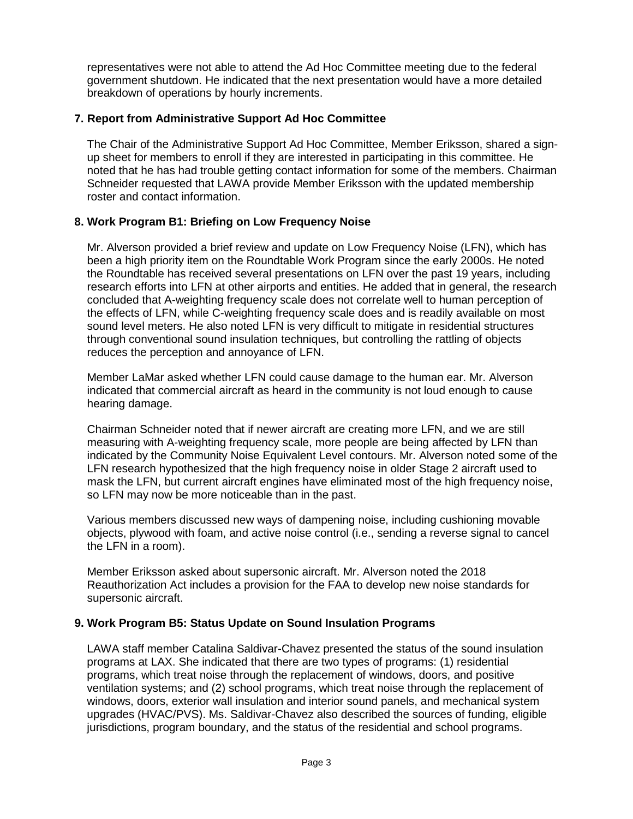representatives were not able to attend the Ad Hoc Committee meeting due to the federal government shutdown. He indicated that the next presentation would have a more detailed breakdown of operations by hourly increments.

## **7. Report from Administrative Support Ad Hoc Committee**

The Chair of the Administrative Support Ad Hoc Committee, Member Eriksson, shared a signup sheet for members to enroll if they are interested in participating in this committee. He noted that he has had trouble getting contact information for some of the members. Chairman Schneider requested that LAWA provide Member Eriksson with the updated membership roster and contact information.

## **8. Work Program B1: Briefing on Low Frequency Noise**

Mr. Alverson provided a brief review and update on Low Frequency Noise (LFN), which has been a high priority item on the Roundtable Work Program since the early 2000s. He noted the Roundtable has received several presentations on LFN over the past 19 years, including research efforts into LFN at other airports and entities. He added that in general, the research concluded that A-weighting frequency scale does not correlate well to human perception of the effects of LFN, while C-weighting frequency scale does and is readily available on most sound level meters. He also noted LFN is very difficult to mitigate in residential structures through conventional sound insulation techniques, but controlling the rattling of objects reduces the perception and annoyance of LFN.

Member LaMar asked whether LFN could cause damage to the human ear. Mr. Alverson indicated that commercial aircraft as heard in the community is not loud enough to cause hearing damage.

Chairman Schneider noted that if newer aircraft are creating more LFN, and we are still measuring with A-weighting frequency scale, more people are being affected by LFN than indicated by the Community Noise Equivalent Level contours. Mr. Alverson noted some of the LFN research hypothesized that the high frequency noise in older Stage 2 aircraft used to mask the LFN, but current aircraft engines have eliminated most of the high frequency noise, so LFN may now be more noticeable than in the past.

Various members discussed new ways of dampening noise, including cushioning movable objects, plywood with foam, and active noise control (i.e., sending a reverse signal to cancel the LFN in a room).

Member Eriksson asked about supersonic aircraft. Mr. Alverson noted the 2018 Reauthorization Act includes a provision for the FAA to develop new noise standards for supersonic aircraft.

#### **9. Work Program B5: Status Update on Sound Insulation Programs**

LAWA staff member Catalina Saldivar-Chavez presented the status of the sound insulation programs at LAX. She indicated that there are two types of programs: (1) residential programs, which treat noise through the replacement of windows, doors, and positive ventilation systems; and (2) school programs, which treat noise through the replacement of windows, doors, exterior wall insulation and interior sound panels, and mechanical system upgrades (HVAC/PVS). Ms. Saldivar-Chavez also described the sources of funding, eligible jurisdictions, program boundary, and the status of the residential and school programs.